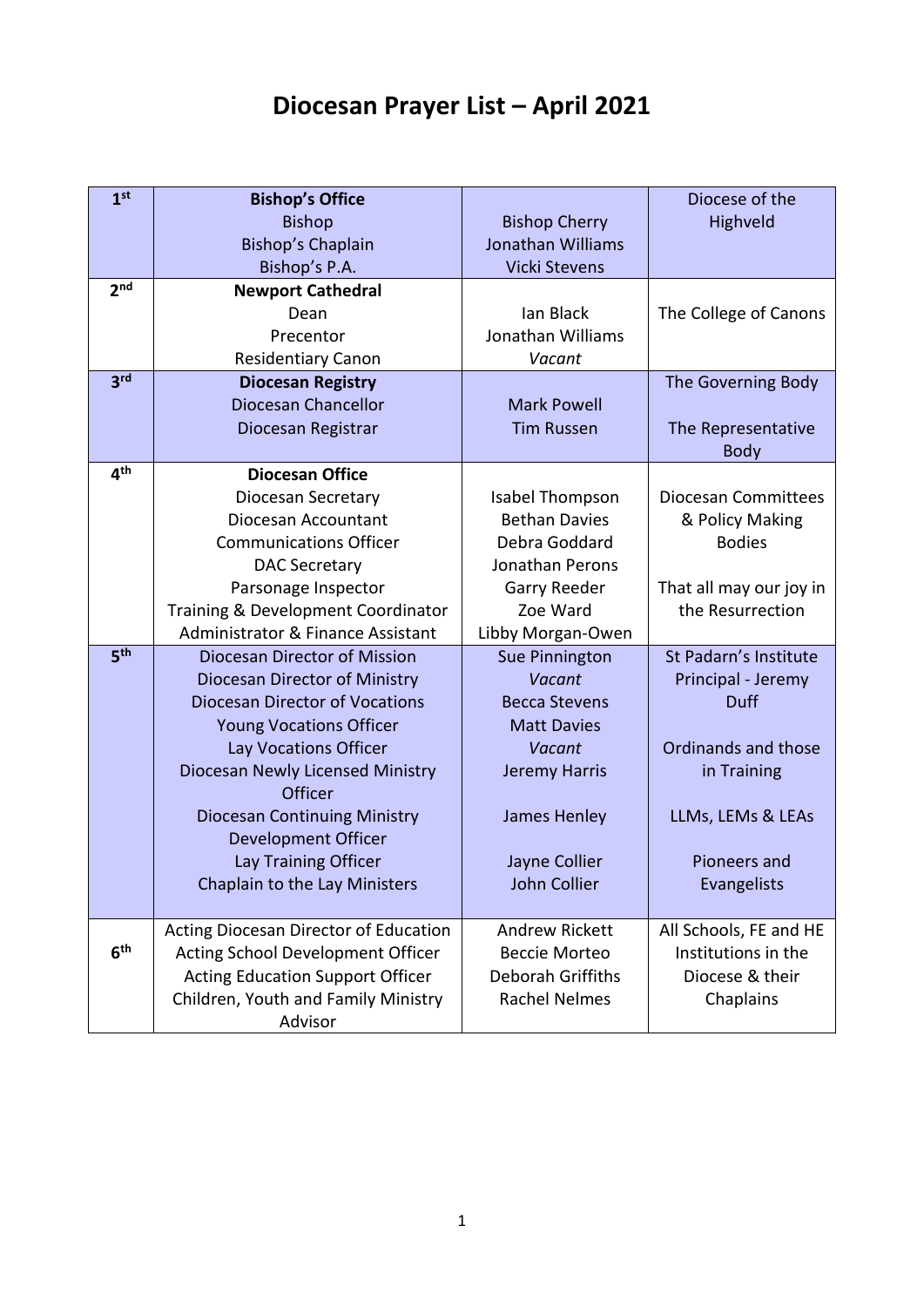## **Diocesan Prayer List – April 2021**

| 1 <sup>st</sup> | <b>Bishop's Office</b>                      |                          | Diocese of the             |
|-----------------|---------------------------------------------|--------------------------|----------------------------|
|                 | <b>Bishop</b>                               | <b>Bishop Cherry</b>     | Highveld                   |
|                 | Bishop's Chaplain                           | Jonathan Williams        |                            |
|                 | Bishop's P.A.                               | <b>Vicki Stevens</b>     |                            |
| 2 <sub>nd</sub> | <b>Newport Cathedral</b>                    |                          |                            |
|                 | Dean                                        | lan Black                | The College of Canons      |
|                 | Precentor                                   | Jonathan Williams        |                            |
|                 | <b>Residentiary Canon</b>                   | Vacant                   |                            |
| 3 <sup>rd</sup> | <b>Diocesan Registry</b>                    |                          | The Governing Body         |
|                 | Diocesan Chancellor                         | <b>Mark Powell</b>       |                            |
|                 | Diocesan Registrar                          | <b>Tim Russen</b>        | The Representative         |
|                 |                                             |                          | <b>Body</b>                |
| 4 <sup>th</sup> | <b>Diocesan Office</b>                      |                          |                            |
|                 | Diocesan Secretary                          | Isabel Thompson          | <b>Diocesan Committees</b> |
|                 | Diocesan Accountant                         | <b>Bethan Davies</b>     | & Policy Making            |
|                 | <b>Communications Officer</b>               | Debra Goddard            | <b>Bodies</b>              |
|                 | <b>DAC Secretary</b>                        | Jonathan Perons          |                            |
|                 | Parsonage Inspector                         | Garry Reeder             | That all may our joy in    |
|                 | Training & Development Coordinator          | Zoe Ward                 | the Resurrection           |
|                 | Administrator & Finance Assistant           | Libby Morgan-Owen        |                            |
| 5 <sup>th</sup> | Diocesan Director of Mission                | Sue Pinnington           | St Padarn's Institute      |
|                 | Diocesan Director of Ministry               | <b>Vacant</b>            | Principal - Jeremy         |
|                 | <b>Diocesan Director of Vocations</b>       | <b>Becca Stevens</b>     | <b>Duff</b>                |
|                 | <b>Young Vocations Officer</b>              | <b>Matt Davies</b>       |                            |
|                 | Lay Vocations Officer                       | Vacant                   | Ordinands and those        |
|                 | Diocesan Newly Licensed Ministry<br>Officer | Jeremy Harris            | in Training                |
|                 | <b>Diocesan Continuing Ministry</b>         |                          |                            |
|                 | <b>Development Officer</b>                  | James Henley             | LLMs, LEMs & LEAs          |
|                 | Lay Training Officer                        | Jayne Collier            | Pioneers and               |
|                 | Chaplain to the Lay Ministers               | <b>John Collier</b>      | Evangelists                |
|                 |                                             |                          |                            |
|                 | Acting Diocesan Director of Education       | Andrew Rickett           | All Schools, FE and HE     |
| 6 <sup>th</sup> | <b>Acting School Development Officer</b>    | <b>Beccie Morteo</b>     | Institutions in the        |
|                 | <b>Acting Education Support Officer</b>     | <b>Deborah Griffiths</b> | Diocese & their            |
|                 | Children, Youth and Family Ministry         | <b>Rachel Nelmes</b>     | Chaplains                  |
|                 | Advisor                                     |                          |                            |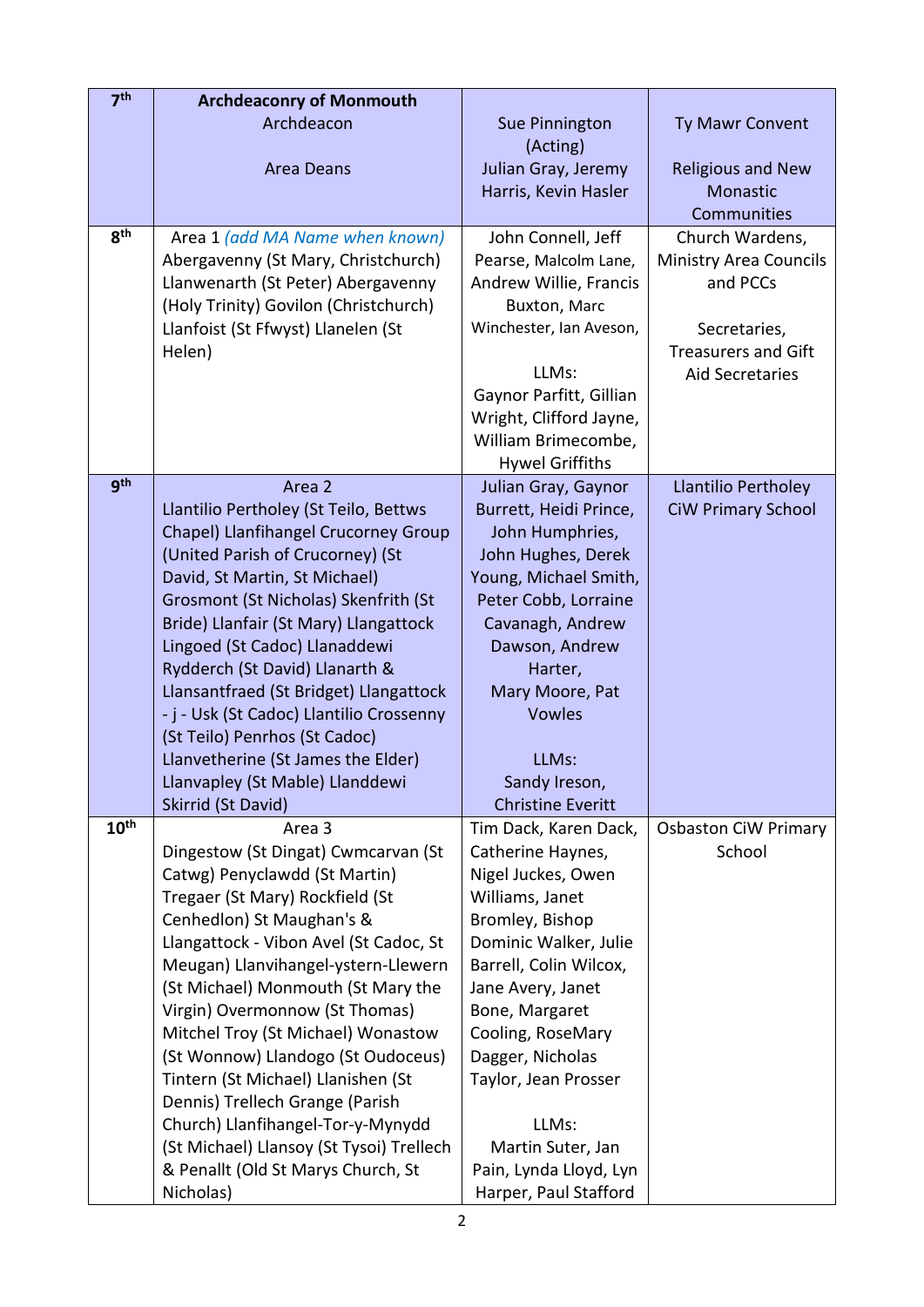| 7 <sup>th</sup>  | <b>Archdeaconry of Monmouth</b>                                          |                                       |                               |
|------------------|--------------------------------------------------------------------------|---------------------------------------|-------------------------------|
|                  | Archdeacon                                                               | Sue Pinnington                        | Ty Mawr Convent               |
|                  |                                                                          | (Acting)                              |                               |
|                  | <b>Area Deans</b>                                                        | Julian Gray, Jeremy                   | <b>Religious and New</b>      |
|                  |                                                                          | Harris, Kevin Hasler                  | Monastic                      |
|                  |                                                                          |                                       | Communities                   |
| 8 <sup>th</sup>  | Area 1 (add MA Name when known)                                          | John Connell, Jeff                    | Church Wardens,               |
|                  | Abergavenny (St Mary, Christchurch)                                      | Pearse, Malcolm Lane,                 | <b>Ministry Area Councils</b> |
|                  | Llanwenarth (St Peter) Abergavenny                                       | Andrew Willie, Francis                | and PCCs                      |
|                  | (Holy Trinity) Govilon (Christchurch)                                    | Buxton, Marc                          |                               |
|                  | Llanfoist (St Ffwyst) Llanelen (St                                       | Winchester, Ian Aveson,               | Secretaries,                  |
|                  | Helen)                                                                   |                                       | <b>Treasurers and Gift</b>    |
|                  |                                                                          | LLMs:                                 | <b>Aid Secretaries</b>        |
|                  |                                                                          | Gaynor Parfitt, Gillian               |                               |
|                  |                                                                          | Wright, Clifford Jayne,               |                               |
|                  |                                                                          | William Brimecombe,                   |                               |
| gth              |                                                                          | <b>Hywel Griffiths</b>                |                               |
|                  | Area 2                                                                   | Julian Gray, Gaynor                   | Llantilio Pertholey           |
|                  | Llantilio Pertholey (St Teilo, Bettws                                    | Burrett, Heidi Prince,                | <b>CiW Primary School</b>     |
|                  | Chapel) Llanfihangel Crucorney Group<br>(United Parish of Crucorney) (St | John Humphries,<br>John Hughes, Derek |                               |
|                  | David, St Martin, St Michael)                                            | Young, Michael Smith,                 |                               |
|                  | Grosmont (St Nicholas) Skenfrith (St                                     | Peter Cobb, Lorraine                  |                               |
|                  | Bride) Llanfair (St Mary) Llangattock                                    | Cavanagh, Andrew                      |                               |
|                  | Lingoed (St Cadoc) Llanaddewi                                            | Dawson, Andrew                        |                               |
|                  | Rydderch (St David) Llanarth &                                           | Harter,                               |                               |
|                  | Llansantfraed (St Bridget) Llangattock                                   | Mary Moore, Pat                       |                               |
|                  | - j - Usk (St Cadoc) Llantilio Crossenny                                 | <b>Vowles</b>                         |                               |
|                  | (St Teilo) Penrhos (St Cadoc)                                            |                                       |                               |
|                  | Llanvetherine (St James the Elder)                                       | LLMs:                                 |                               |
|                  | Llanvapley (St Mable) Llanddewi                                          | Sandy Ireson,                         |                               |
|                  | Skirrid (St David)                                                       | <b>Christine Everitt</b>              |                               |
| 10 <sup>th</sup> | Area 3                                                                   | Tim Dack, Karen Dack,                 | <b>Osbaston CiW Primary</b>   |
|                  | Dingestow (St Dingat) Cwmcarvan (St                                      | Catherine Haynes,                     | School                        |
|                  | Catwg) Penyclawdd (St Martin)                                            | Nigel Juckes, Owen                    |                               |
|                  | Tregaer (St Mary) Rockfield (St                                          | Williams, Janet                       |                               |
|                  | Cenhedlon) St Maughan's &                                                | Bromley, Bishop                       |                               |
|                  | Llangattock - Vibon Avel (St Cadoc, St                                   | Dominic Walker, Julie                 |                               |
|                  | Meugan) Llanvihangel-ystern-Llewern                                      | Barrell, Colin Wilcox,                |                               |
|                  | (St Michael) Monmouth (St Mary the                                       | Jane Avery, Janet                     |                               |
|                  | Virgin) Overmonnow (St Thomas)<br>Mitchel Troy (St Michael) Wonastow     | Bone, Margaret<br>Cooling, RoseMary   |                               |
|                  | (St Wonnow) Llandogo (St Oudoceus)                                       | Dagger, Nicholas                      |                               |
|                  | Tintern (St Michael) Llanishen (St                                       | Taylor, Jean Prosser                  |                               |
|                  | Dennis) Trellech Grange (Parish                                          |                                       |                               |
|                  | Church) Llanfihangel-Tor-y-Mynydd                                        | LLMs:                                 |                               |
|                  | (St Michael) Llansoy (St Tysoi) Trellech                                 | Martin Suter, Jan                     |                               |
|                  | & Penallt (Old St Marys Church, St                                       | Pain, Lynda Lloyd, Lyn                |                               |
|                  | Nicholas)                                                                | Harper, Paul Stafford                 |                               |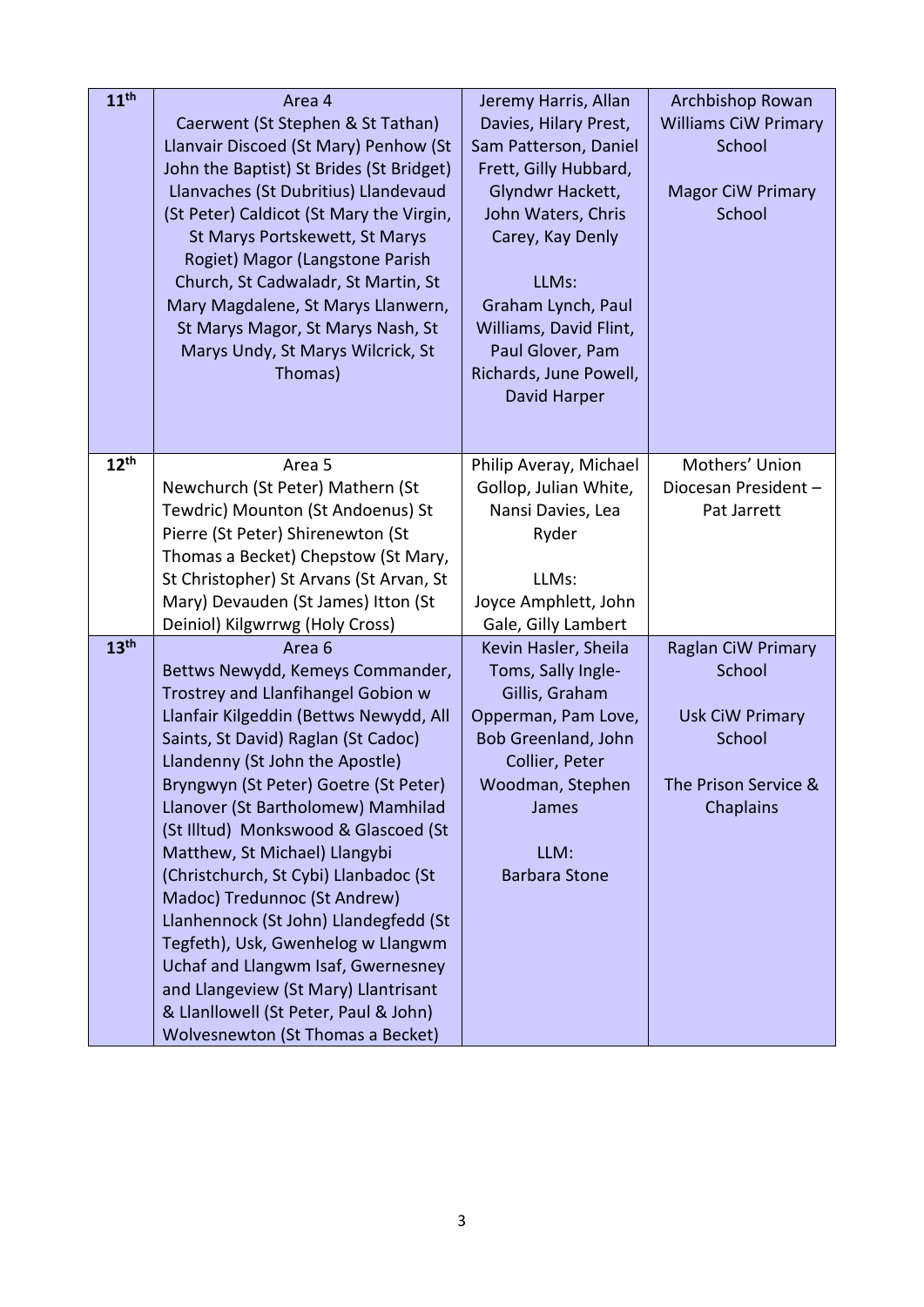| 11 <sup>th</sup> | Area 4                                     | Jeremy Harris, Allan                            | Archbishop Rowan                      |
|------------------|--------------------------------------------|-------------------------------------------------|---------------------------------------|
|                  | Caerwent (St Stephen & St Tathan)          | Davies, Hilary Prest,                           | <b>Williams CiW Primary</b>           |
|                  | Llanvair Discoed (St Mary) Penhow (St      | Sam Patterson, Daniel                           | School                                |
|                  | John the Baptist) St Brides (St Bridget)   | Frett, Gilly Hubbard,                           |                                       |
|                  | Llanvaches (St Dubritius) Llandevaud       | Glyndwr Hackett,                                | <b>Magor CiW Primary</b>              |
|                  | (St Peter) Caldicot (St Mary the Virgin,   | John Waters, Chris                              | School                                |
|                  | St Marys Portskewett, St Marys             | Carey, Kay Denly                                |                                       |
|                  | Rogiet) Magor (Langstone Parish            |                                                 |                                       |
|                  | Church, St Cadwaladr, St Martin, St        | LLMs:                                           |                                       |
|                  | Mary Magdalene, St Marys Llanwern,         | Graham Lynch, Paul                              |                                       |
|                  | St Marys Magor, St Marys Nash, St          | Williams, David Flint,                          |                                       |
|                  | Marys Undy, St Marys Wilcrick, St          | Paul Glover, Pam                                |                                       |
|                  | Thomas)                                    | Richards, June Powell,                          |                                       |
|                  |                                            | David Harper                                    |                                       |
|                  |                                            |                                                 |                                       |
| 12 <sup>th</sup> |                                            |                                                 |                                       |
|                  | Area 5<br>Newchurch (St Peter) Mathern (St | Philip Averay, Michael<br>Gollop, Julian White, | Mothers' Union<br>Diocesan President- |
|                  | Tewdric) Mounton (St Andoenus) St          | Nansi Davies, Lea                               | Pat Jarrett                           |
|                  | Pierre (St Peter) Shirenewton (St          | Ryder                                           |                                       |
|                  | Thomas a Becket) Chepstow (St Mary,        |                                                 |                                       |
|                  | St Christopher) St Arvans (St Arvan, St    | LLMs:                                           |                                       |
|                  | Mary) Devauden (St James) Itton (St        | Joyce Amphlett, John                            |                                       |
|                  | Deiniol) Kilgwrrwg (Holy Cross)            | Gale, Gilly Lambert                             |                                       |
| 13 <sup>th</sup> | Area <sub>6</sub>                          | Kevin Hasler, Sheila                            | Raglan CiW Primary                    |
|                  | Bettws Newydd, Kemeys Commander,           | Toms, Sally Ingle-                              | School                                |
|                  | Trostrey and Llanfihangel Gobion w         | Gillis, Graham                                  |                                       |
|                  | Llanfair Kilgeddin (Bettws Newydd, All     | Opperman, Pam Love,                             | <b>Usk CiW Primary</b>                |
|                  | Saints, St David) Raglan (St Cadoc)        | Bob Greenland, John                             | School                                |
|                  | Llandenny (St John the Apostle)            | Collier, Peter                                  |                                       |
|                  | Bryngwyn (St Peter) Goetre (St Peter)      | Woodman, Stephen                                | The Prison Service &                  |
|                  | Llanover (St Bartholomew) Mamhilad         | James                                           | Chaplains                             |
|                  | (St Illtud) Monkswood & Glascoed (St       |                                                 |                                       |
|                  | Matthew, St Michael) Llangybi              | LLM:                                            |                                       |
|                  | (Christchurch, St Cybi) Llanbadoc (St      | <b>Barbara Stone</b>                            |                                       |
|                  | Madoc) Tredunnoc (St Andrew)               |                                                 |                                       |
|                  | Llanhennock (St John) Llandegfedd (St      |                                                 |                                       |
|                  | Tegfeth), Usk, Gwenhelog w Llangwm         |                                                 |                                       |
|                  | Uchaf and Llangwm Isaf, Gwernesney         |                                                 |                                       |
|                  | and Llangeview (St Mary) Llantrisant       |                                                 |                                       |
|                  | & Llanllowell (St Peter, Paul & John)      |                                                 |                                       |
|                  | Wolvesnewton (St Thomas a Becket)          |                                                 |                                       |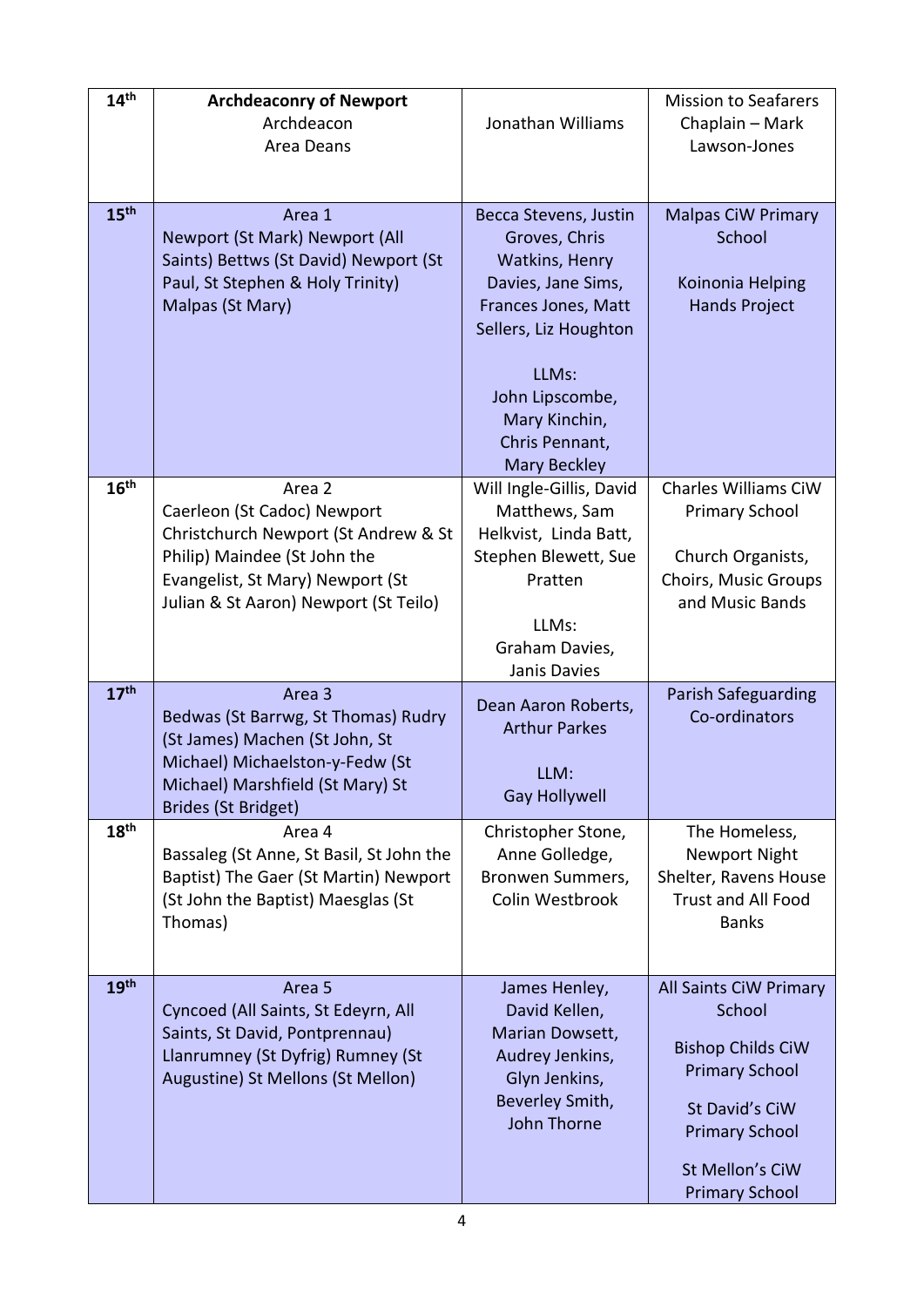| 14 <sup>th</sup> | <b>Archdeaconry of Newport</b><br>Archdeacon<br>Area Deans                                                                                                                                 | Jonathan Williams                                                                                                                                                                                                    | <b>Mission to Seafarers</b><br>Chaplain - Mark<br>Lawson-Jones                                                                                                               |
|------------------|--------------------------------------------------------------------------------------------------------------------------------------------------------------------------------------------|----------------------------------------------------------------------------------------------------------------------------------------------------------------------------------------------------------------------|------------------------------------------------------------------------------------------------------------------------------------------------------------------------------|
| 15 <sup>th</sup> | Area 1<br>Newport (St Mark) Newport (All<br>Saints) Bettws (St David) Newport (St<br>Paul, St Stephen & Holy Trinity)<br>Malpas (St Mary)                                                  | Becca Stevens, Justin<br>Groves, Chris<br>Watkins, Henry<br>Davies, Jane Sims,<br>Frances Jones, Matt<br>Sellers, Liz Houghton<br>LLMs:<br>John Lipscombe,<br>Mary Kinchin,<br>Chris Pennant,<br><b>Mary Beckley</b> | <b>Malpas CiW Primary</b><br>School<br>Koinonia Helping<br><b>Hands Project</b>                                                                                              |
| 16 <sup>th</sup> | Area 2<br>Caerleon (St Cadoc) Newport<br>Christchurch Newport (St Andrew & St<br>Philip) Maindee (St John the<br>Evangelist, St Mary) Newport (St<br>Julian & St Aaron) Newport (St Teilo) | Will Ingle-Gillis, David<br>Matthews, Sam<br>Helkvist, Linda Batt,<br>Stephen Blewett, Sue<br>Pratten<br>LLMs:<br>Graham Davies,<br>Janis Davies                                                                     | Charles Williams CiW<br><b>Primary School</b><br>Church Organists,<br>Choirs, Music Groups<br>and Music Bands                                                                |
| 17 <sup>th</sup> | Area 3<br>Bedwas (St Barrwg, St Thomas) Rudry<br>(St James) Machen (St John, St<br>Michael) Michaelston-y-Fedw (St<br>Michael) Marshfield (St Mary) St<br>Brides (St Bridget)              | Dean Aaron Roberts,<br><b>Arthur Parkes</b><br>LLM:<br><b>Gay Hollywell</b>                                                                                                                                          | <b>Parish Safeguarding</b><br>Co-ordinators                                                                                                                                  |
| 18 <sup>th</sup> | Area 4<br>Bassaleg (St Anne, St Basil, St John the<br>Baptist) The Gaer (St Martin) Newport<br>(St John the Baptist) Maesglas (St<br>Thomas)                                               | Christopher Stone,<br>Anne Golledge,<br>Bronwen Summers,<br>Colin Westbrook                                                                                                                                          | The Homeless,<br><b>Newport Night</b><br>Shelter, Ravens House<br><b>Trust and All Food</b><br><b>Banks</b>                                                                  |
| 19 <sup>th</sup> | Area 5<br>Cyncoed (All Saints, St Edeyrn, All<br>Saints, St David, Pontprennau)<br>Llanrumney (St Dyfrig) Rumney (St<br>Augustine) St Mellons (St Mellon)                                  | James Henley,<br>David Kellen,<br>Marian Dowsett,<br>Audrey Jenkins,<br>Glyn Jenkins,<br>Beverley Smith,<br>John Thorne                                                                                              | All Saints CiW Primary<br>School<br><b>Bishop Childs CiW</b><br><b>Primary School</b><br>St David's CiW<br><b>Primary School</b><br>St Mellon's CiW<br><b>Primary School</b> |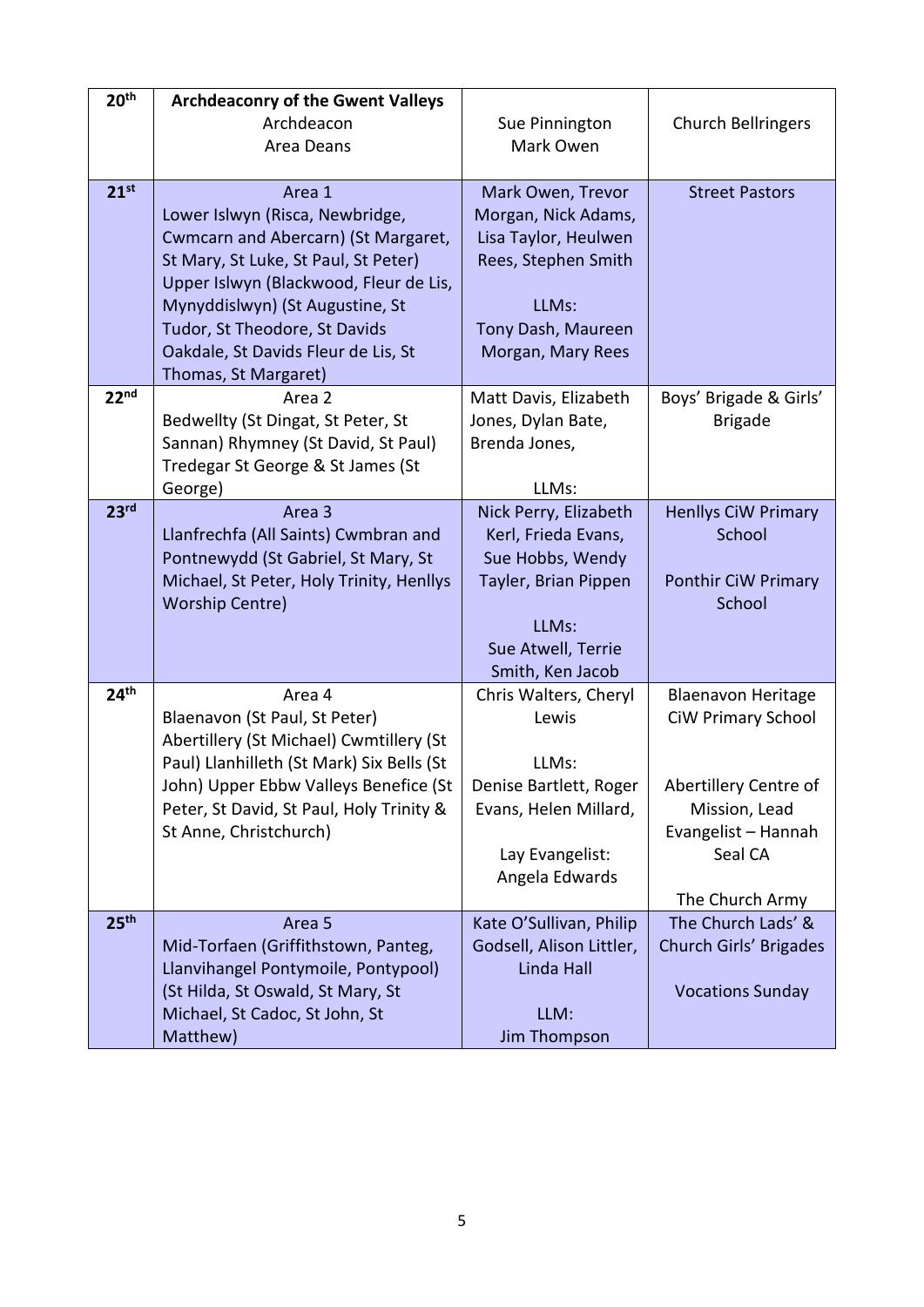| 20 <sup>th</sup> | <b>Archdeaconry of the Gwent Valleys</b>                                        |                          |                                      |
|------------------|---------------------------------------------------------------------------------|--------------------------|--------------------------------------|
|                  | Archdeacon                                                                      | Sue Pinnington           | <b>Church Bellringers</b>            |
|                  | Area Deans                                                                      | Mark Owen                |                                      |
|                  |                                                                                 |                          |                                      |
| $21^{st}$        | Area 1                                                                          | Mark Owen, Trevor        | <b>Street Pastors</b>                |
|                  | Lower Islwyn (Risca, Newbridge,                                                 | Morgan, Nick Adams,      |                                      |
|                  | Cwmcarn and Abercarn) (St Margaret,                                             | Lisa Taylor, Heulwen     |                                      |
|                  | St Mary, St Luke, St Paul, St Peter)                                            | Rees, Stephen Smith      |                                      |
|                  | Upper Islwyn (Blackwood, Fleur de Lis,                                          |                          |                                      |
|                  | Mynyddislwyn) (St Augustine, St                                                 | LLMs:                    |                                      |
|                  | Tudor, St Theodore, St Davids                                                   | Tony Dash, Maureen       |                                      |
|                  | Oakdale, St Davids Fleur de Lis, St                                             | Morgan, Mary Rees        |                                      |
|                  | Thomas, St Margaret)                                                            |                          |                                      |
| 22 <sup>nd</sup> | Area 2                                                                          | Matt Davis, Elizabeth    | Boys' Brigade & Girls'               |
|                  | Bedwellty (St Dingat, St Peter, St                                              | Jones, Dylan Bate,       | <b>Brigade</b>                       |
|                  | Sannan) Rhymney (St David, St Paul)                                             | Brenda Jones,            |                                      |
|                  | Tredegar St George & St James (St                                               |                          |                                      |
| 23 <sup>rd</sup> | George)                                                                         | LLMs:                    |                                      |
|                  | Area 3                                                                          | Nick Perry, Elizabeth    | <b>Henllys CiW Primary</b>           |
|                  | Llanfrechfa (All Saints) Cwmbran and                                            | Kerl, Frieda Evans,      | School                               |
|                  | Pontnewydd (St Gabriel, St Mary, St<br>Michael, St Peter, Holy Trinity, Henllys | Sue Hobbs, Wendy         |                                      |
|                  | <b>Worship Centre)</b>                                                          | Tayler, Brian Pippen     | <b>Ponthir CiW Primary</b><br>School |
|                  |                                                                                 | LLMs:                    |                                      |
|                  |                                                                                 | Sue Atwell, Terrie       |                                      |
|                  |                                                                                 | Smith, Ken Jacob         |                                      |
| 24 <sup>th</sup> | Area 4                                                                          | Chris Walters, Cheryl    | <b>Blaenavon Heritage</b>            |
|                  | Blaenavon (St Paul, St Peter)                                                   | Lewis                    | <b>CiW Primary School</b>            |
|                  | Abertillery (St Michael) Cwmtillery (St                                         |                          |                                      |
|                  | Paul) Llanhilleth (St Mark) Six Bells (St                                       | LLMs:                    |                                      |
|                  | John) Upper Ebbw Valleys Benefice (St                                           | Denise Bartlett, Roger   | Abertillery Centre of                |
|                  | Peter, St David, St Paul, Holy Trinity &                                        | Evans, Helen Millard,    | Mission, Lead                        |
|                  | St Anne, Christchurch)                                                          |                          | Evangelist - Hannah                  |
|                  |                                                                                 | Lay Evangelist:          | Seal CA                              |
|                  |                                                                                 | Angela Edwards           |                                      |
|                  |                                                                                 |                          | The Church Army                      |
| 25 <sup>th</sup> | Area 5                                                                          | Kate O'Sullivan, Philip  | The Church Lads' &                   |
|                  | Mid-Torfaen (Griffithstown, Panteg,                                             | Godsell, Alison Littler, | Church Girls' Brigades               |
|                  | Llanvihangel Pontymoile, Pontypool)                                             | Linda Hall               |                                      |
|                  | (St Hilda, St Oswald, St Mary, St                                               |                          | <b>Vocations Sunday</b>              |
|                  | Michael, St Cadoc, St John, St                                                  | LLM:                     |                                      |
|                  | Matthew)                                                                        | <b>Jim Thompson</b>      |                                      |